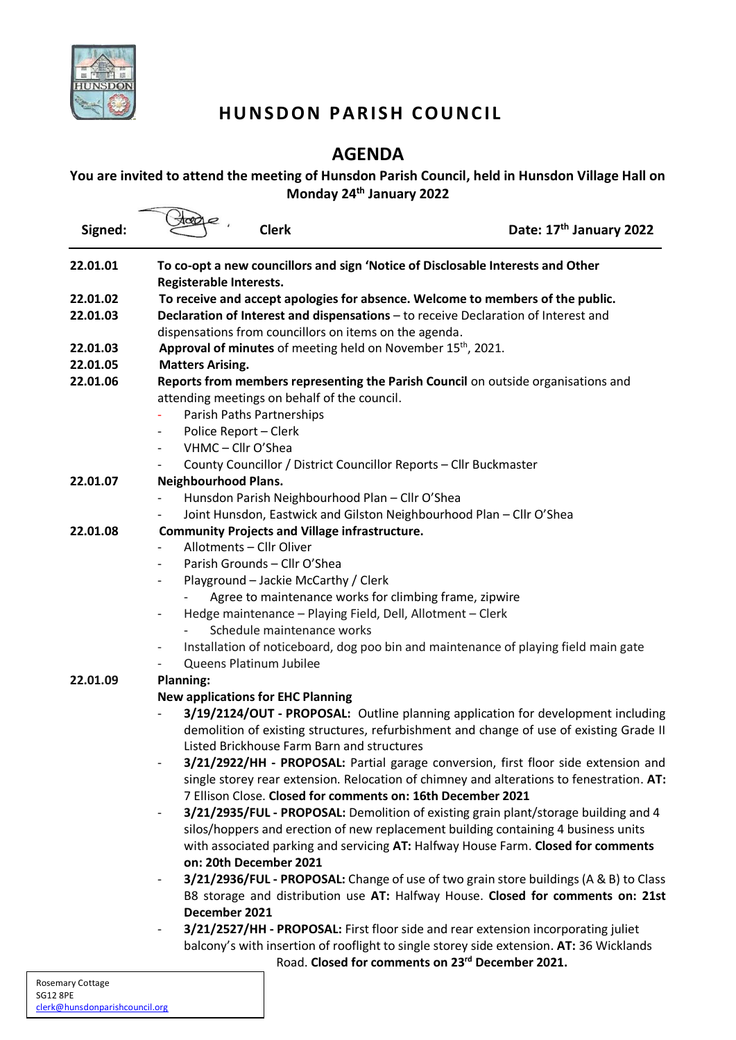

## **HUNSDON PARISH COUNCIL**

### **AGENDA**

### **You are invited to attend the meeting of Hunsdon Parish Council, held in Hunsdon Village Hall on Monday 24th January 2022**

| Signed:  | <b>Clerk</b>                                                                       |                                                                                     | Date: 17th January 2022                                                                  |
|----------|------------------------------------------------------------------------------------|-------------------------------------------------------------------------------------|------------------------------------------------------------------------------------------|
| 22.01.01 | To co-opt a new councillors and sign 'Notice of Disclosable Interests and Other    |                                                                                     |                                                                                          |
|          | Registerable Interests.                                                            |                                                                                     |                                                                                          |
| 22.01.02 | To receive and accept apologies for absence. Welcome to members of the public.     |                                                                                     |                                                                                          |
| 22.01.03 | Declaration of Interest and dispensations - to receive Declaration of Interest and |                                                                                     |                                                                                          |
|          | dispensations from councillors on items on the agenda.                             |                                                                                     |                                                                                          |
| 22.01.03 | <b>Approval of minutes</b> of meeting held on November $15th$ , 2021.              |                                                                                     |                                                                                          |
| 22.01.05 | <b>Matters Arising.</b>                                                            |                                                                                     |                                                                                          |
| 22.01.06 | Reports from members representing the Parish Council on outside organisations and  |                                                                                     |                                                                                          |
|          | attending meetings on behalf of the council.                                       |                                                                                     |                                                                                          |
|          | Parish Paths Partnerships                                                          |                                                                                     |                                                                                          |
|          | Police Report - Clerk<br>$\overline{\phantom{a}}$                                  |                                                                                     |                                                                                          |
|          | VHMC - Cllr O'Shea<br>$\overline{\phantom{a}}$                                     |                                                                                     |                                                                                          |
|          |                                                                                    | County Councillor / District Councillor Reports - Cllr Buckmaster                   |                                                                                          |
| 22.01.07 | <b>Neighbourhood Plans.</b>                                                        |                                                                                     |                                                                                          |
|          |                                                                                    | Hunsdon Parish Neighbourhood Plan - Cllr O'Shea                                     |                                                                                          |
|          |                                                                                    | Joint Hunsdon, Eastwick and Gilston Neighbourhood Plan - Cllr O'Shea                |                                                                                          |
| 22.01.08 | <b>Community Projects and Village infrastructure.</b>                              |                                                                                     |                                                                                          |
|          | Allotments - Cllr Oliver                                                           |                                                                                     |                                                                                          |
|          | Parish Grounds - Cllr O'Shea                                                       |                                                                                     |                                                                                          |
|          | $\overline{\phantom{a}}$                                                           | Playground - Jackie McCarthy / Clerk                                                |                                                                                          |
|          |                                                                                    | Agree to maintenance works for climbing frame, zipwire                              |                                                                                          |
|          | $\overline{\phantom{a}}$                                                           | Hedge maintenance - Playing Field, Dell, Allotment - Clerk                          |                                                                                          |
|          |                                                                                    | Schedule maintenance works                                                          |                                                                                          |
|          | $\overline{\phantom{a}}$                                                           | Installation of noticeboard, dog poo bin and maintenance of playing field main gate |                                                                                          |
|          | Queens Platinum Jubilee                                                            |                                                                                     |                                                                                          |
| 22.01.09 | <b>Planning:</b>                                                                   |                                                                                     |                                                                                          |
|          | <b>New applications for EHC Planning</b>                                           |                                                                                     |                                                                                          |
|          |                                                                                    |                                                                                     | 3/19/2124/OUT - PROPOSAL: Outline planning application for development including         |
|          |                                                                                    |                                                                                     | demolition of existing structures, refurbishment and change of use of existing Grade II  |
|          |                                                                                    | Listed Brickhouse Farm Barn and structures                                          |                                                                                          |
|          |                                                                                    |                                                                                     | 3/21/2922/HH - PROPOSAL: Partial garage conversion, first floor side extension and       |
|          |                                                                                    |                                                                                     | single storey rear extension. Relocation of chimney and alterations to fenestration. AT: |
|          |                                                                                    | 7 Ellison Close. Closed for comments on: 16th December 2021                         |                                                                                          |
|          | $\overline{\phantom{a}}$                                                           |                                                                                     | 3/21/2935/FUL - PROPOSAL: Demolition of existing grain plant/storage building and 4      |
|          |                                                                                    | silos/hoppers and erection of new replacement building containing 4 business units  |                                                                                          |
|          |                                                                                    |                                                                                     | with associated parking and servicing AT: Halfway House Farm. Closed for comments        |
|          | on: 20th December 2021                                                             |                                                                                     |                                                                                          |
|          | $\qquad \qquad \blacksquare$                                                       |                                                                                     | 3/21/2936/FUL - PROPOSAL: Change of use of two grain store buildings (A & B) to Class    |
|          |                                                                                    |                                                                                     | B8 storage and distribution use AT: Halfway House. Closed for comments on: 21st          |
|          | December 2021                                                                      |                                                                                     |                                                                                          |
|          |                                                                                    | 3/21/2527/HH - PROPOSAL: First floor side and rear extension incorporating juliet   |                                                                                          |
|          |                                                                                    |                                                                                     | balcony's with insertion of rooflight to single storey side extension. AT: 36 Wicklands  |

Road. **Closed for comments on 23rd December 2021.**